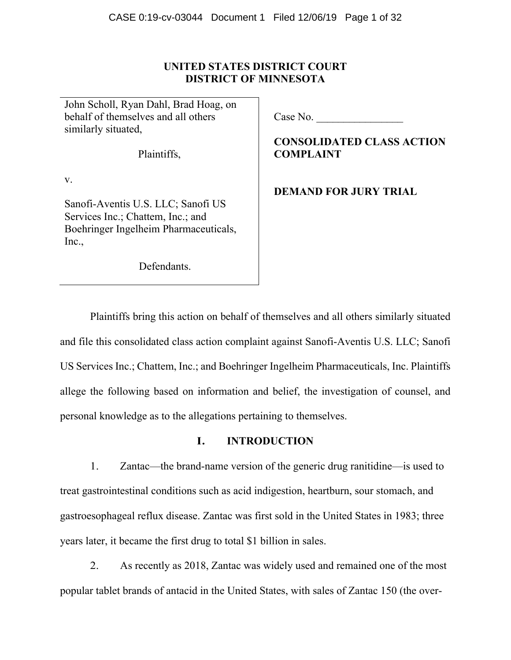# **UNITED STATES DISTRICT COURT DISTRICT OF MINNESOTA**

John Scholl, Ryan Dahl, Brad Hoag, on behalf of themselves and all others similarly situated,

Plaintiffs,

v.

Sanofi-Aventis U.S. LLC; Sanofi US Services Inc.; Chattem, Inc.; and Boehringer Ingelheim Pharmaceuticals, Inc.,

Defendants.

Case No.

**CONSOLIDATED CLASS ACTION COMPLAINT** 

**DEMAND FOR JURY TRIAL** 

Plaintiffs bring this action on behalf of themselves and all others similarly situated and file this consolidated class action complaint against Sanofi-Aventis U.S. LLC; Sanofi US Services Inc.; Chattem, Inc.; and Boehringer Ingelheim Pharmaceuticals, Inc. Plaintiffs allege the following based on information and belief, the investigation of counsel, and personal knowledge as to the allegations pertaining to themselves.

# **I. INTRODUCTION**

1. Zantac—the brand-name version of the generic drug ranitidine—is used to treat gastrointestinal conditions such as acid indigestion, heartburn, sour stomach, and gastroesophageal reflux disease. Zantac was first sold in the United States in 1983; three years later, it became the first drug to total \$1 billion in sales.

2. As recently as 2018, Zantac was widely used and remained one of the most popular tablet brands of antacid in the United States, with sales of Zantac 150 (the over-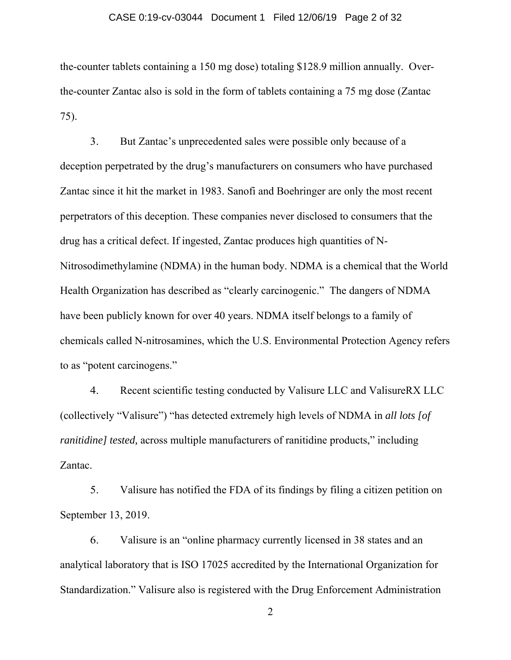#### CASE 0:19-cv-03044 Document 1 Filed 12/06/19 Page 2 of 32

the-counter tablets containing a 150 mg dose) totaling \$128.9 million annually. Overthe-counter Zantac also is sold in the form of tablets containing a 75 mg dose (Zantac 75).

3. But Zantac's unprecedented sales were possible only because of a deception perpetrated by the drug's manufacturers on consumers who have purchased Zantac since it hit the market in 1983. Sanofi and Boehringer are only the most recent perpetrators of this deception. These companies never disclosed to consumers that the drug has a critical defect. If ingested, Zantac produces high quantities of N-Nitrosodimethylamine (NDMA) in the human body. NDMA is a chemical that the World Health Organization has described as "clearly carcinogenic." The dangers of NDMA have been publicly known for over 40 years. NDMA itself belongs to a family of chemicals called N-nitrosamines, which the U.S. Environmental Protection Agency refers to as "potent carcinogens."

4. Recent scientific testing conducted by Valisure LLC and ValisureRX LLC (collectively "Valisure") "has detected extremely high levels of NDMA in *all lots [of ranitidine] tested,* across multiple manufacturers of ranitidine products," including Zantac.

5. Valisure has notified the FDA of its findings by filing a citizen petition on September 13, 2019.

6. Valisure is an "online pharmacy currently licensed in 38 states and an analytical laboratory that is ISO 17025 accredited by the International Organization for Standardization." Valisure also is registered with the Drug Enforcement Administration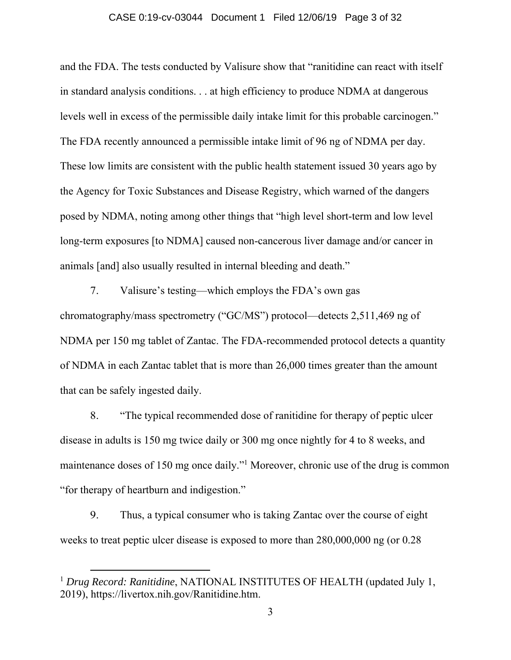### CASE 0:19-cv-03044 Document 1 Filed 12/06/19 Page 3 of 32

and the FDA. The tests conducted by Valisure show that "ranitidine can react with itself in standard analysis conditions. . . at high efficiency to produce NDMA at dangerous levels well in excess of the permissible daily intake limit for this probable carcinogen." The FDA recently announced a permissible intake limit of 96 ng of NDMA per day. These low limits are consistent with the public health statement issued 30 years ago by the Agency for Toxic Substances and Disease Registry, which warned of the dangers posed by NDMA, noting among other things that "high level short-term and low level long-term exposures [to NDMA] caused non-cancerous liver damage and/or cancer in animals [and] also usually resulted in internal bleeding and death."

7. Valisure's testing—which employs the FDA's own gas chromatography/mass spectrometry ("GC/MS") protocol—detects 2,511,469 ng of NDMA per 150 mg tablet of Zantac. The FDA-recommended protocol detects a quantity of NDMA in each Zantac tablet that is more than 26,000 times greater than the amount that can be safely ingested daily.

8. "The typical recommended dose of ranitidine for therapy of peptic ulcer disease in adults is 150 mg twice daily or 300 mg once nightly for 4 to 8 weeks, and maintenance doses of 150 mg once daily."<sup>1</sup> Moreover, chronic use of the drug is common "for therapy of heartburn and indigestion."

9. Thus, a typical consumer who is taking Zantac over the course of eight weeks to treat peptic ulcer disease is exposed to more than 280,000,000 ng (or 0.28

<sup>&</sup>lt;sup>1</sup> Drug Record: Ranitidine, NATIONAL INSTITUTES OF HEALTH (updated July 1, 2019), https://livertox.nih.gov/Ranitidine.htm.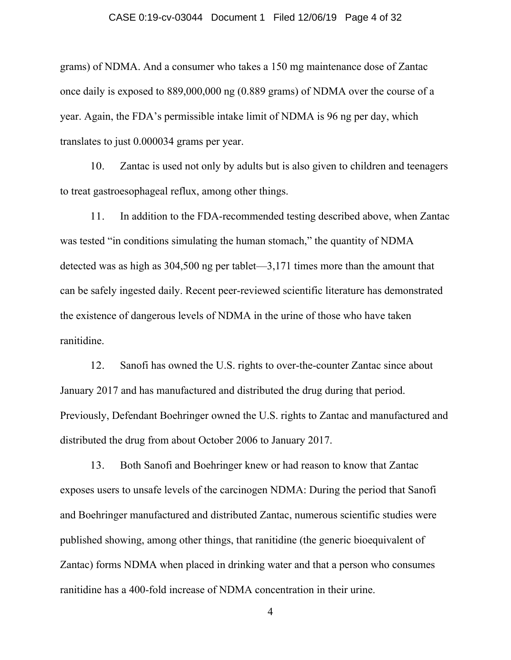#### CASE 0:19-cv-03044 Document 1 Filed 12/06/19 Page 4 of 32

grams) of NDMA. And a consumer who takes a 150 mg maintenance dose of Zantac once daily is exposed to 889,000,000 ng (0.889 grams) of NDMA over the course of a year. Again, the FDA's permissible intake limit of NDMA is 96 ng per day, which translates to just 0.000034 grams per year.

10. Zantac is used not only by adults but is also given to children and teenagers to treat gastroesophageal reflux, among other things.

11. In addition to the FDA-recommended testing described above, when Zantac was tested "in conditions simulating the human stomach," the quantity of NDMA detected was as high as 304,500 ng per tablet—3,171 times more than the amount that can be safely ingested daily. Recent peer-reviewed scientific literature has demonstrated the existence of dangerous levels of NDMA in the urine of those who have taken ranitidine.

12. Sanofi has owned the U.S. rights to over-the-counter Zantac since about January 2017 and has manufactured and distributed the drug during that period. Previously, Defendant Boehringer owned the U.S. rights to Zantac and manufactured and distributed the drug from about October 2006 to January 2017.

13. Both Sanofi and Boehringer knew or had reason to know that Zantac exposes users to unsafe levels of the carcinogen NDMA: During the period that Sanofi and Boehringer manufactured and distributed Zantac, numerous scientific studies were published showing, among other things, that ranitidine (the generic bioequivalent of Zantac) forms NDMA when placed in drinking water and that a person who consumes ranitidine has a 400-fold increase of NDMA concentration in their urine.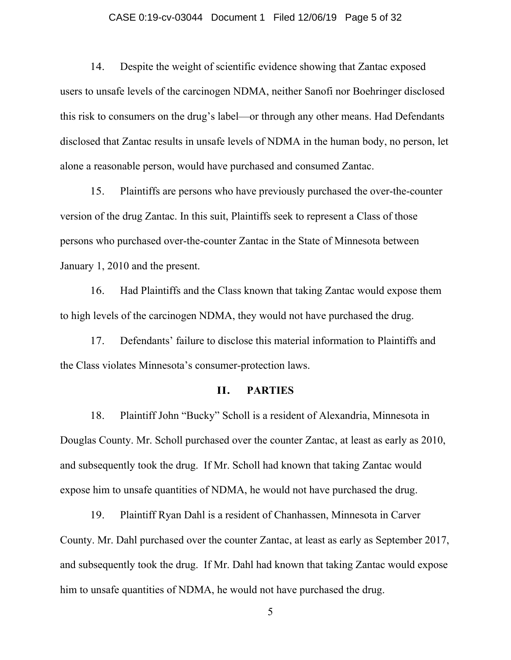#### CASE 0:19-cv-03044 Document 1 Filed 12/06/19 Page 5 of 32

14. Despite the weight of scientific evidence showing that Zantac exposed users to unsafe levels of the carcinogen NDMA, neither Sanofi nor Boehringer disclosed this risk to consumers on the drug's label—or through any other means. Had Defendants disclosed that Zantac results in unsafe levels of NDMA in the human body, no person, let alone a reasonable person, would have purchased and consumed Zantac.

15. Plaintiffs are persons who have previously purchased the over-the-counter version of the drug Zantac. In this suit, Plaintiffs seek to represent a Class of those persons who purchased over-the-counter Zantac in the State of Minnesota between January 1, 2010 and the present.

16. Had Plaintiffs and the Class known that taking Zantac would expose them to high levels of the carcinogen NDMA, they would not have purchased the drug.

17. Defendants' failure to disclose this material information to Plaintiffs and the Class violates Minnesota's consumer-protection laws.

### **II. PARTIES**

18. Plaintiff John "Bucky" Scholl is a resident of Alexandria, Minnesota in Douglas County. Mr. Scholl purchased over the counter Zantac, at least as early as 2010, and subsequently took the drug. If Mr. Scholl had known that taking Zantac would expose him to unsafe quantities of NDMA, he would not have purchased the drug.

19. Plaintiff Ryan Dahl is a resident of Chanhassen, Minnesota in Carver County. Mr. Dahl purchased over the counter Zantac, at least as early as September 2017, and subsequently took the drug. If Mr. Dahl had known that taking Zantac would expose him to unsafe quantities of NDMA, he would not have purchased the drug.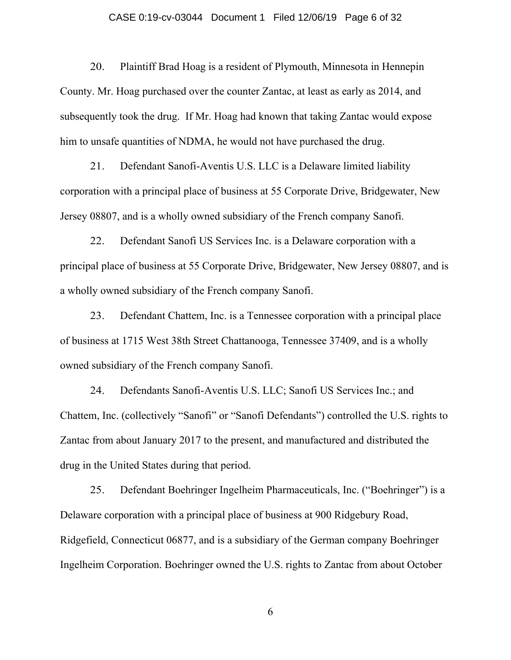#### CASE 0:19-cv-03044 Document 1 Filed 12/06/19 Page 6 of 32

20. Plaintiff Brad Hoag is a resident of Plymouth, Minnesota in Hennepin County. Mr. Hoag purchased over the counter Zantac, at least as early as 2014, and subsequently took the drug. If Mr. Hoag had known that taking Zantac would expose him to unsafe quantities of NDMA, he would not have purchased the drug.

21. Defendant Sanofi-Aventis U.S. LLC is a Delaware limited liability corporation with a principal place of business at 55 Corporate Drive, Bridgewater, New Jersey 08807, and is a wholly owned subsidiary of the French company Sanofi.

22. Defendant Sanofi US Services Inc. is a Delaware corporation with a principal place of business at 55 Corporate Drive, Bridgewater, New Jersey 08807, and is a wholly owned subsidiary of the French company Sanofi.

23. Defendant Chattem, Inc. is a Tennessee corporation with a principal place of business at 1715 West 38th Street Chattanooga, Tennessee 37409, and is a wholly owned subsidiary of the French company Sanofi.

24. Defendants Sanofi-Aventis U.S. LLC; Sanofi US Services Inc.; and Chattem, Inc. (collectively "Sanofi" or "Sanofi Defendants") controlled the U.S. rights to Zantac from about January 2017 to the present, and manufactured and distributed the drug in the United States during that period.

25. Defendant Boehringer Ingelheim Pharmaceuticals, Inc. ("Boehringer") is a Delaware corporation with a principal place of business at 900 Ridgebury Road, Ridgefield, Connecticut 06877, and is a subsidiary of the German company Boehringer Ingelheim Corporation. Boehringer owned the U.S. rights to Zantac from about October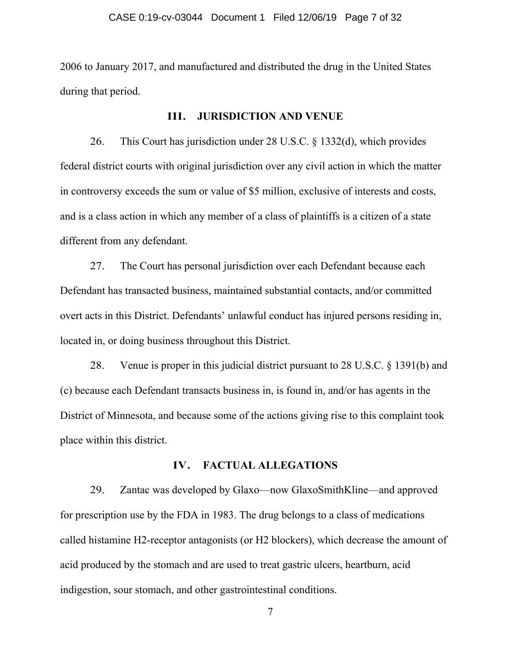2006 to January 2017, and manufactured and distributed the drug in the United States during that period.

### **III. JURISDICTION AND VENUE**

26. This Court has jurisdiction under 28 U.S.C. § 1332(d), which provides federal district courts with original jurisdiction over any civil action in which the matter in controversy exceeds the sum or value of \$5 million, exclusive of interests and costs, and is a class action in which any member of a class of plaintiffs is a citizen of a state different from any defendant.

27. The Court has personal jurisdiction over each Defendant because each Defendant has transacted business, maintained substantial contacts, and/or committed overt acts in this District. Defendants' unlawful conduct has injured persons residing in, located in, or doing business throughout this District.

28. Venue is proper in this judicial district pursuant to 28 U.S.C. § 1391(b) and (c) because each Defendant transacts business in, is found in, and/or has agents in the District of Minnesota, and because some of the actions giving rise to this complaint took place within this district.

## **IV. FACTUAL ALLEGATIONS**

29. Zantac was developed by Glaxo—now GlaxoSmithKline—and approved for prescription use by the FDA in 1983. The drug belongs to a class of medications called histamine H2-receptor antagonists (or H2 blockers), which decrease the amount of acid produced by the stomach and are used to treat gastric ulcers, heartburn, acid indigestion, sour stomach, and other gastrointestinal conditions.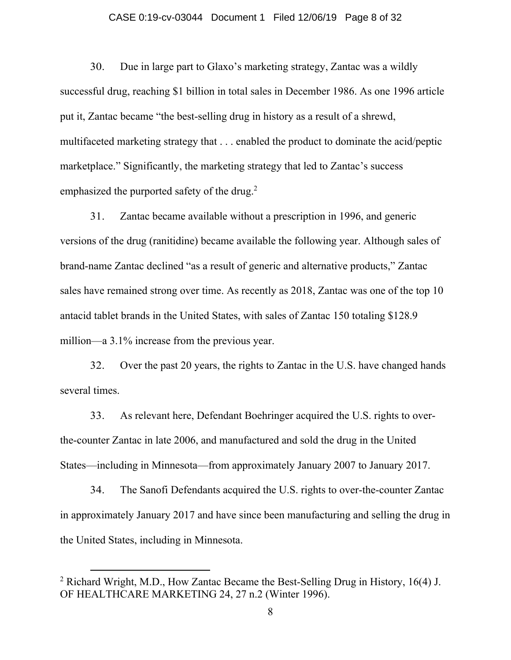### CASE 0:19-cv-03044 Document 1 Filed 12/06/19 Page 8 of 32

30. Due in large part to Glaxo's marketing strategy, Zantac was a wildly successful drug, reaching \$1 billion in total sales in December 1986. As one 1996 article put it, Zantac became "the best-selling drug in history as a result of a shrewd, multifaceted marketing strategy that . . . enabled the product to dominate the acid/peptic marketplace." Significantly, the marketing strategy that led to Zantac's success emphasized the purported safety of the drug.<sup>2</sup>

31. Zantac became available without a prescription in 1996, and generic versions of the drug (ranitidine) became available the following year. Although sales of brand-name Zantac declined "as a result of generic and alternative products," Zantac sales have remained strong over time. As recently as 2018, Zantac was one of the top 10 antacid tablet brands in the United States, with sales of Zantac 150 totaling \$128.9 million—a 3.1% increase from the previous year.

32. Over the past 20 years, the rights to Zantac in the U.S. have changed hands several times.

33. As relevant here, Defendant Boehringer acquired the U.S. rights to overthe-counter Zantac in late 2006, and manufactured and sold the drug in the United States—including in Minnesota—from approximately January 2007 to January 2017.

34. The Sanofi Defendants acquired the U.S. rights to over-the-counter Zantac in approximately January 2017 and have since been manufacturing and selling the drug in the United States, including in Minnesota.

<sup>&</sup>lt;sup>2</sup> Richard Wright, M.D., How Zantac Became the Best-Selling Drug in History, 16(4) J. OF HEALTHCARE MARKETING 24, 27 n.2 (Winter 1996).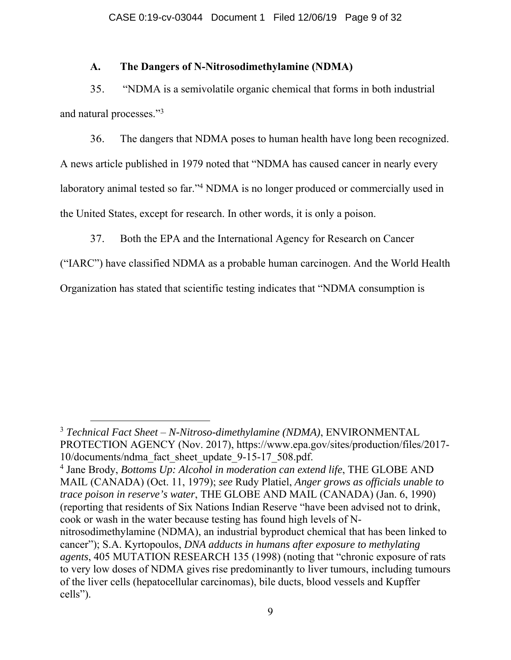## **A. The Dangers of N-Nitrosodimethylamine (NDMA)**

35. "NDMA is a semivolatile organic chemical that forms in both industrial and natural processes."3

36. The dangers that NDMA poses to human health have long been recognized. A news article published in 1979 noted that "NDMA has caused cancer in nearly every laboratory animal tested so far."4 NDMA is no longer produced or commercially used in the United States, except for research. In other words, it is only a poison.

37. Both the EPA and the International Agency for Research on Cancer

("IARC") have classified NDMA as a probable human carcinogen. And the World Health

Organization has stated that scientific testing indicates that "NDMA consumption is

4 Jane Brody, *Bottoms Up: Alcohol in moderation can extend life*, THE GLOBE AND MAIL (CANADA) (Oct. 11, 1979); *see* Rudy Platiel, *Anger grows as officials unable to trace poison in reserve's water*, THE GLOBE AND MAIL (CANADA) (Jan. 6, 1990) (reporting that residents of Six Nations Indian Reserve "have been advised not to drink, cook or wash in the water because testing has found high levels of Nnitrosodimethylamine (NDMA), an industrial byproduct chemical that has been linked to cancer"); S.A. Kyrtopoulos, *DNA adducts in humans after exposure to methylating agents*, 405 MUTATION RESEARCH 135 (1998) (noting that "chronic exposure of rats to very low doses of NDMA gives rise predominantly to liver tumours, including tumours of the liver cells (hepatocellular carcinomas), bile ducts, blood vessels and Kupffer cells").

<sup>3</sup> *Technical Fact Sheet* – *N-Nitroso-dimethylamine (NDMA)*, ENVIRONMENTAL PROTECTION AGENCY (Nov. 2017), https://www.epa.gov/sites/production/files/2017- 10/documents/ndma\_fact\_sheet\_update\_9-15-17\_508.pdf.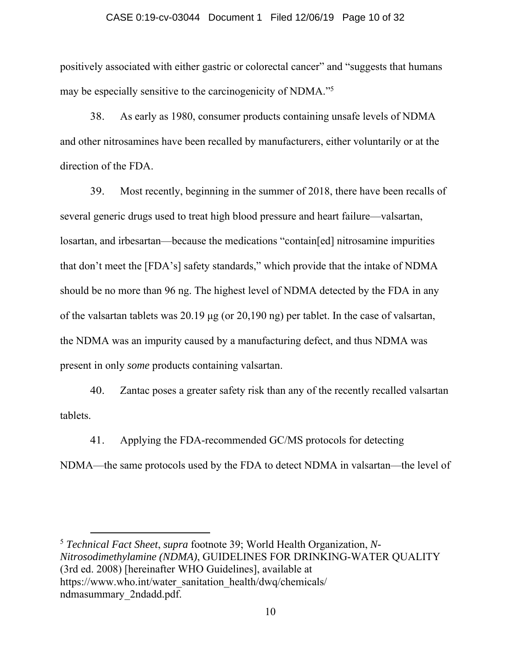#### CASE 0:19-cv-03044 Document 1 Filed 12/06/19 Page 10 of 32

positively associated with either gastric or colorectal cancer" and "suggests that humans may be especially sensitive to the carcinogenicity of NDMA."5

38. As early as 1980, consumer products containing unsafe levels of NDMA and other nitrosamines have been recalled by manufacturers, either voluntarily or at the direction of the FDA.

39. Most recently, beginning in the summer of 2018, there have been recalls of several generic drugs used to treat high blood pressure and heart failure—valsartan, losartan, and irbesartan—because the medications "contain[ed] nitrosamine impurities that don't meet the [FDA's] safety standards," which provide that the intake of NDMA should be no more than 96 ng. The highest level of NDMA detected by the FDA in any of the valsartan tablets was 20.19 μg (or 20,190 ng) per tablet. In the case of valsartan, the NDMA was an impurity caused by a manufacturing defect, and thus NDMA was present in only *some* products containing valsartan.

40. Zantac poses a greater safety risk than any of the recently recalled valsartan tablets.

41. Applying the FDA-recommended GC/MS protocols for detecting NDMA—the same protocols used by the FDA to detect NDMA in valsartan—the level of

<sup>5</sup> *Technical Fact Sheet*, *supra* footnote 39; World Health Organization, *N-Nitrosodimethylamine (NDMA)*, GUIDELINES FOR DRINKING-WATER QUALITY (3rd ed. 2008) [hereinafter WHO Guidelines], available at https://www.who.int/water\_sanitation\_health/dwq/chemicals/ ndmasummary\_2ndadd.pdf.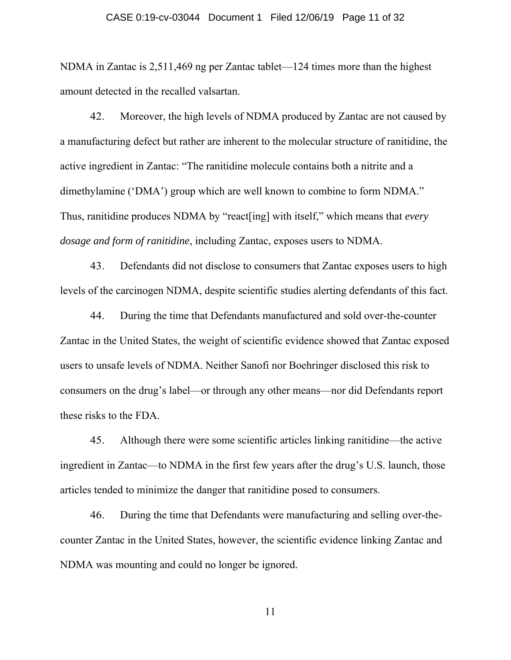#### CASE 0:19-cv-03044 Document 1 Filed 12/06/19 Page 11 of 32

NDMA in Zantac is 2,511,469 ng per Zantac tablet—124 times more than the highest amount detected in the recalled valsartan.

42. Moreover, the high levels of NDMA produced by Zantac are not caused by a manufacturing defect but rather are inherent to the molecular structure of ranitidine, the active ingredient in Zantac: "The ranitidine molecule contains both a nitrite and a dimethylamine ('DMA') group which are well known to combine to form NDMA." Thus, ranitidine produces NDMA by "react[ing] with itself," which means that *every dosage and form of ranitidine*, including Zantac, exposes users to NDMA.

43. Defendants did not disclose to consumers that Zantac exposes users to high levels of the carcinogen NDMA, despite scientific studies alerting defendants of this fact.

44. During the time that Defendants manufactured and sold over-the-counter Zantac in the United States, the weight of scientific evidence showed that Zantac exposed users to unsafe levels of NDMA. Neither Sanofi nor Boehringer disclosed this risk to consumers on the drug's label—or through any other means—nor did Defendants report these risks to the FDA.

45. Although there were some scientific articles linking ranitidine—the active ingredient in Zantac—to NDMA in the first few years after the drug's U.S. launch, those articles tended to minimize the danger that ranitidine posed to consumers.

46. During the time that Defendants were manufacturing and selling over-thecounter Zantac in the United States, however, the scientific evidence linking Zantac and NDMA was mounting and could no longer be ignored.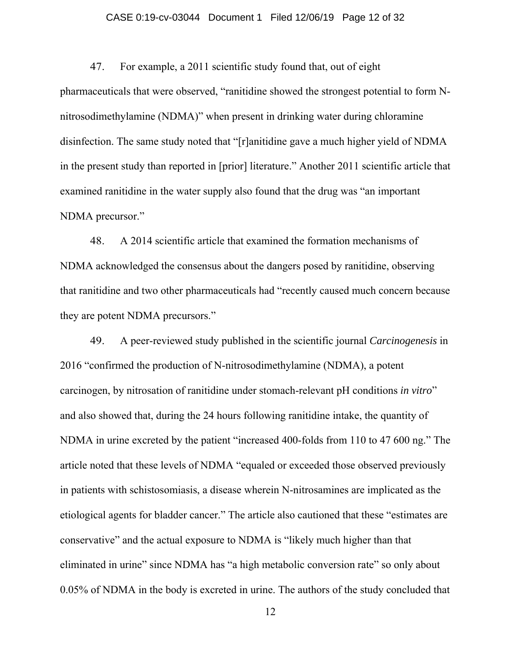## CASE 0:19-cv-03044 Document 1 Filed 12/06/19 Page 12 of 32

47. For example, a 2011 scientific study found that, out of eight pharmaceuticals that were observed, "ranitidine showed the strongest potential to form Nnitrosodimethylamine (NDMA)" when present in drinking water during chloramine disinfection. The same study noted that "[r]anitidine gave a much higher yield of NDMA in the present study than reported in [prior] literature." Another 2011 scientific article that examined ranitidine in the water supply also found that the drug was "an important NDMA precursor."

48. A 2014 scientific article that examined the formation mechanisms of NDMA acknowledged the consensus about the dangers posed by ranitidine, observing that ranitidine and two other pharmaceuticals had "recently caused much concern because they are potent NDMA precursors."

49. A peer-reviewed study published in the scientific journal *Carcinogenesis* in 2016 "confirmed the production of N-nitrosodimethylamine (NDMA), a potent carcinogen, by nitrosation of ranitidine under stomach-relevant pH conditions *in vitro*" and also showed that, during the 24 hours following ranitidine intake, the quantity of NDMA in urine excreted by the patient "increased 400-folds from 110 to 47 600 ng." The article noted that these levels of NDMA "equaled or exceeded those observed previously in patients with schistosomiasis, a disease wherein N-nitrosamines are implicated as the etiological agents for bladder cancer." The article also cautioned that these "estimates are conservative" and the actual exposure to NDMA is "likely much higher than that eliminated in urine" since NDMA has "a high metabolic conversion rate" so only about 0.05% of NDMA in the body is excreted in urine. The authors of the study concluded that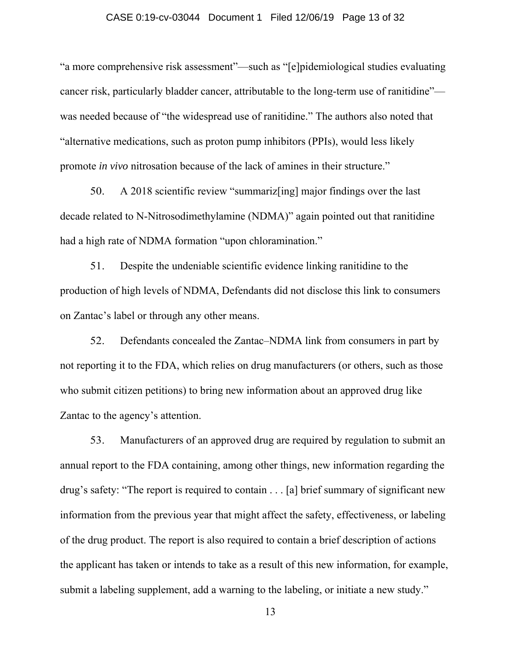### CASE 0:19-cv-03044 Document 1 Filed 12/06/19 Page 13 of 32

"a more comprehensive risk assessment"—such as "[e]pidemiological studies evaluating cancer risk, particularly bladder cancer, attributable to the long-term use of ranitidine" was needed because of "the widespread use of ranitidine." The authors also noted that "alternative medications, such as proton pump inhibitors (PPIs), would less likely promote *in vivo* nitrosation because of the lack of amines in their structure."

50. A 2018 scientific review "summariz[ing] major findings over the last decade related to N-Nitrosodimethylamine (NDMA)" again pointed out that ranitidine had a high rate of NDMA formation "upon chloramination."

51. Despite the undeniable scientific evidence linking ranitidine to the production of high levels of NDMA, Defendants did not disclose this link to consumers on Zantac's label or through any other means.

52. Defendants concealed the Zantac–NDMA link from consumers in part by not reporting it to the FDA, which relies on drug manufacturers (or others, such as those who submit citizen petitions) to bring new information about an approved drug like Zantac to the agency's attention.

53. Manufacturers of an approved drug are required by regulation to submit an annual report to the FDA containing, among other things, new information regarding the drug's safety: "The report is required to contain . . . [a] brief summary of significant new information from the previous year that might affect the safety, effectiveness, or labeling of the drug product. The report is also required to contain a brief description of actions the applicant has taken or intends to take as a result of this new information, for example, submit a labeling supplement, add a warning to the labeling, or initiate a new study."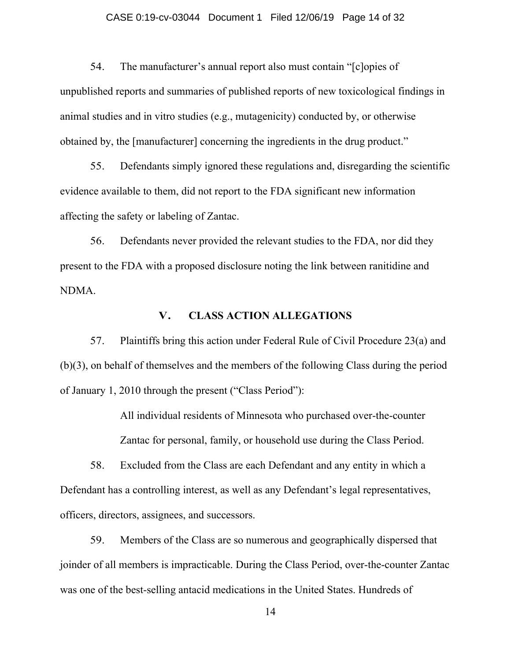#### CASE 0:19-cv-03044 Document 1 Filed 12/06/19 Page 14 of 32

54. The manufacturer's annual report also must contain "[c]opies of unpublished reports and summaries of published reports of new toxicological findings in animal studies and in vitro studies (e.g., mutagenicity) conducted by, or otherwise obtained by, the [manufacturer] concerning the ingredients in the drug product."

55. Defendants simply ignored these regulations and, disregarding the scientific evidence available to them, did not report to the FDA significant new information affecting the safety or labeling of Zantac.

56. Defendants never provided the relevant studies to the FDA, nor did they present to the FDA with a proposed disclosure noting the link between ranitidine and NDMA.

### **V. CLASS ACTION ALLEGATIONS**

57. Plaintiffs bring this action under Federal Rule of Civil Procedure 23(a) and (b)(3), on behalf of themselves and the members of the following Class during the period of January 1, 2010 through the present ("Class Period"):

> All individual residents of Minnesota who purchased over-the-counter Zantac for personal, family, or household use during the Class Period.

58. Excluded from the Class are each Defendant and any entity in which a Defendant has a controlling interest, as well as any Defendant's legal representatives, officers, directors, assignees, and successors.

59. Members of the Class are so numerous and geographically dispersed that joinder of all members is impracticable. During the Class Period, over-the-counter Zantac was one of the best-selling antacid medications in the United States. Hundreds of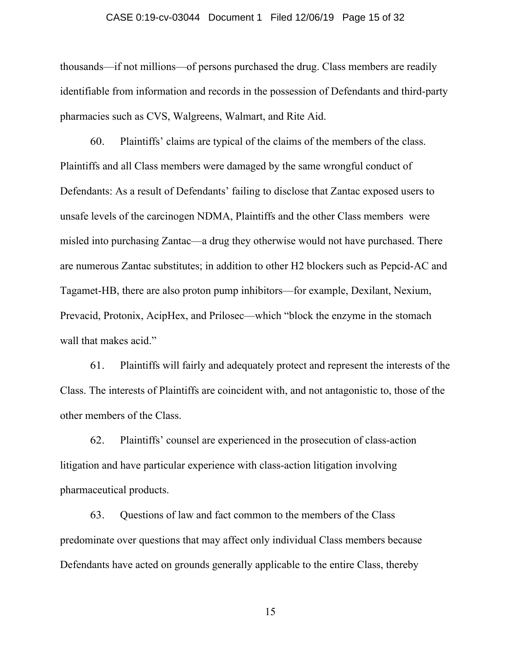#### CASE 0:19-cv-03044 Document 1 Filed 12/06/19 Page 15 of 32

thousands—if not millions—of persons purchased the drug. Class members are readily identifiable from information and records in the possession of Defendants and third-party pharmacies such as CVS, Walgreens, Walmart, and Rite Aid.

60. Plaintiffs' claims are typical of the claims of the members of the class. Plaintiffs and all Class members were damaged by the same wrongful conduct of Defendants: As a result of Defendants' failing to disclose that Zantac exposed users to unsafe levels of the carcinogen NDMA, Plaintiffs and the other Class members were misled into purchasing Zantac—a drug they otherwise would not have purchased. There are numerous Zantac substitutes; in addition to other H2 blockers such as Pepcid-AC and Tagamet-HB, there are also proton pump inhibitors—for example, Dexilant, Nexium, Prevacid, Protonix, AcipHex, and Prilosec—which "block the enzyme in the stomach wall that makes acid."

61. Plaintiffs will fairly and adequately protect and represent the interests of the Class. The interests of Plaintiffs are coincident with, and not antagonistic to, those of the other members of the Class.

62. Plaintiffs' counsel are experienced in the prosecution of class-action litigation and have particular experience with class-action litigation involving pharmaceutical products.

63. Questions of law and fact common to the members of the Class predominate over questions that may affect only individual Class members because Defendants have acted on grounds generally applicable to the entire Class, thereby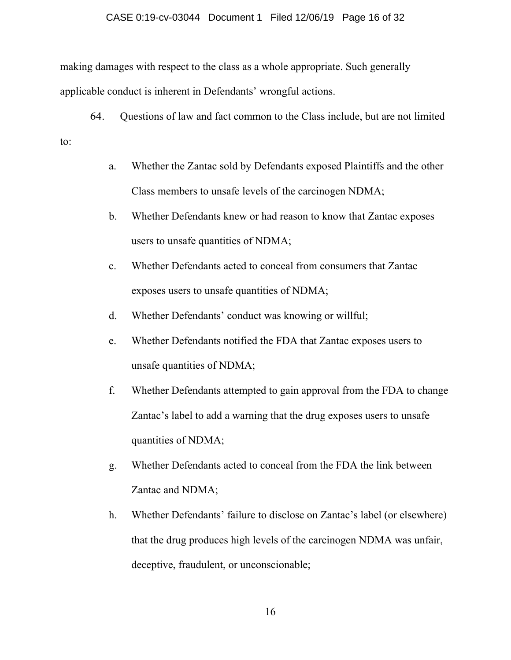#### CASE 0:19-cv-03044 Document 1 Filed 12/06/19 Page 16 of 32

making damages with respect to the class as a whole appropriate. Such generally applicable conduct is inherent in Defendants' wrongful actions.

64. Questions of law and fact common to the Class include, but are not limited to:

- a. Whether the Zantac sold by Defendants exposed Plaintiffs and the other Class members to unsafe levels of the carcinogen NDMA;
- b. Whether Defendants knew or had reason to know that Zantac exposes users to unsafe quantities of NDMA;
- c. Whether Defendants acted to conceal from consumers that Zantac exposes users to unsafe quantities of NDMA;
- d. Whether Defendants' conduct was knowing or willful;
- e. Whether Defendants notified the FDA that Zantac exposes users to unsafe quantities of NDMA;
- f. Whether Defendants attempted to gain approval from the FDA to change Zantac's label to add a warning that the drug exposes users to unsafe quantities of NDMA;
- g. Whether Defendants acted to conceal from the FDA the link between Zantac and NDMA;
- h. Whether Defendants' failure to disclose on Zantac's label (or elsewhere) that the drug produces high levels of the carcinogen NDMA was unfair, deceptive, fraudulent, or unconscionable;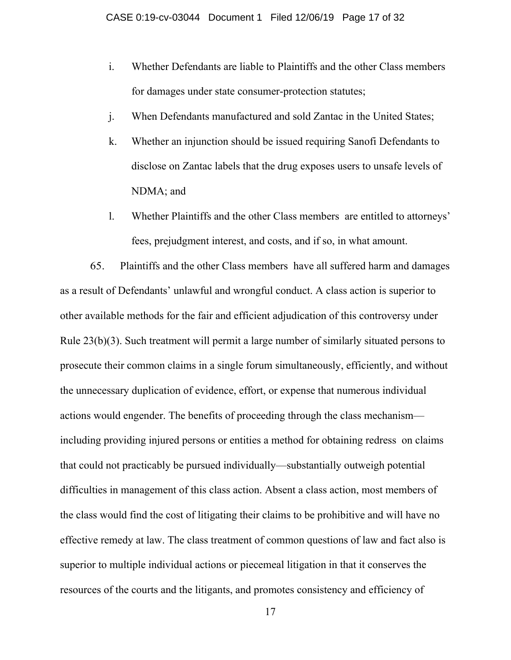- i. Whether Defendants are liable to Plaintiffs and the other Class members for damages under state consumer-protection statutes;
- j. When Defendants manufactured and sold Zantac in the United States;
- k. Whether an injunction should be issued requiring Sanofi Defendants to disclose on Zantac labels that the drug exposes users to unsafe levels of NDMA; and
- l. Whether Plaintiffs and the other Class members are entitled to attorneys' fees, prejudgment interest, and costs, and if so, in what amount.

65. Plaintiffs and the other Class members have all suffered harm and damages as a result of Defendants' unlawful and wrongful conduct. A class action is superior to other available methods for the fair and efficient adjudication of this controversy under Rule 23(b)(3). Such treatment will permit a large number of similarly situated persons to prosecute their common claims in a single forum simultaneously, efficiently, and without the unnecessary duplication of evidence, effort, or expense that numerous individual actions would engender. The benefits of proceeding through the class mechanism including providing injured persons or entities a method for obtaining redress on claims that could not practicably be pursued individually—substantially outweigh potential difficulties in management of this class action. Absent a class action, most members of the class would find the cost of litigating their claims to be prohibitive and will have no effective remedy at law. The class treatment of common questions of law and fact also is superior to multiple individual actions or piecemeal litigation in that it conserves the resources of the courts and the litigants, and promotes consistency and efficiency of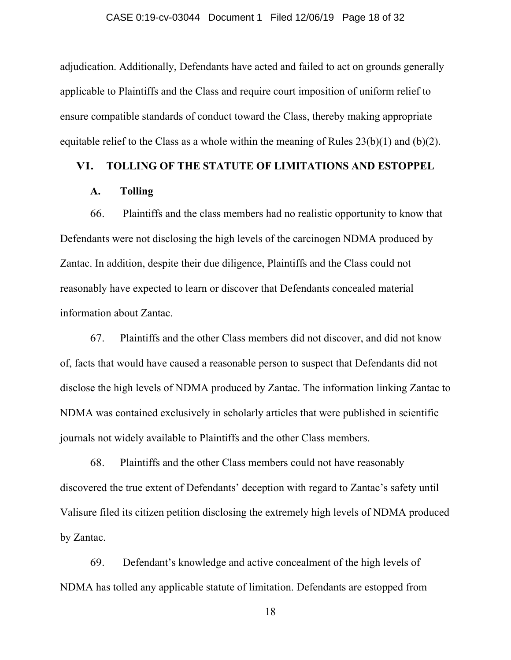adjudication. Additionally, Defendants have acted and failed to act on grounds generally applicable to Plaintiffs and the Class and require court imposition of uniform relief to ensure compatible standards of conduct toward the Class, thereby making appropriate equitable relief to the Class as a whole within the meaning of Rules  $23(b)(1)$  and  $(b)(2)$ .

## **VI. TOLLING OF THE STATUTE OF LIMITATIONS AND ESTOPPEL**

### **A. Tolling**

66. Plaintiffs and the class members had no realistic opportunity to know that Defendants were not disclosing the high levels of the carcinogen NDMA produced by Zantac. In addition, despite their due diligence, Plaintiffs and the Class could not reasonably have expected to learn or discover that Defendants concealed material information about Zantac.

67. Plaintiffs and the other Class members did not discover, and did not know of, facts that would have caused a reasonable person to suspect that Defendants did not disclose the high levels of NDMA produced by Zantac. The information linking Zantac to NDMA was contained exclusively in scholarly articles that were published in scientific journals not widely available to Plaintiffs and the other Class members.

68. Plaintiffs and the other Class members could not have reasonably discovered the true extent of Defendants' deception with regard to Zantac's safety until Valisure filed its citizen petition disclosing the extremely high levels of NDMA produced by Zantac.

69. Defendant's knowledge and active concealment of the high levels of NDMA has tolled any applicable statute of limitation. Defendants are estopped from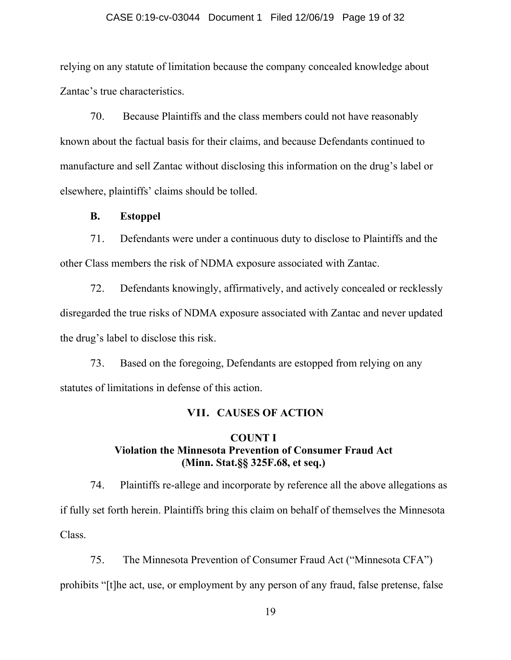#### CASE 0:19-cv-03044 Document 1 Filed 12/06/19 Page 19 of 32

relying on any statute of limitation because the company concealed knowledge about Zantac's true characteristics.

70. Because Plaintiffs and the class members could not have reasonably known about the factual basis for their claims, and because Defendants continued to manufacture and sell Zantac without disclosing this information on the drug's label or elsewhere, plaintiffs' claims should be tolled.

## **B. Estoppel**

71. Defendants were under a continuous duty to disclose to Plaintiffs and the other Class members the risk of NDMA exposure associated with Zantac.

72. Defendants knowingly, affirmatively, and actively concealed or recklessly disregarded the true risks of NDMA exposure associated with Zantac and never updated the drug's label to disclose this risk.

73. Based on the foregoing, Defendants are estopped from relying on any statutes of limitations in defense of this action.

## **VII. CAUSES OF ACTION**

# **COUNT I Violation the Minnesota Prevention of Consumer Fraud Act (Minn. Stat.§§ 325F.68, et seq.)**

74. Plaintiffs re-allege and incorporate by reference all the above allegations as if fully set forth herein. Plaintiffs bring this claim on behalf of themselves the Minnesota Class.

75. The Minnesota Prevention of Consumer Fraud Act ("Minnesota CFA") prohibits "[t]he act, use, or employment by any person of any fraud, false pretense, false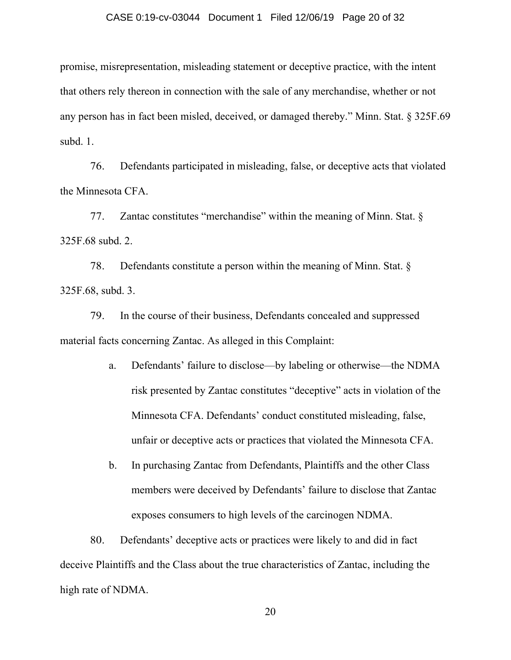#### CASE 0:19-cv-03044 Document 1 Filed 12/06/19 Page 20 of 32

promise, misrepresentation, misleading statement or deceptive practice, with the intent that others rely thereon in connection with the sale of any merchandise, whether or not any person has in fact been misled, deceived, or damaged thereby." Minn. Stat. § 325F.69 subd. 1.

76. Defendants participated in misleading, false, or deceptive acts that violated the Minnesota CFA.

77. Zantac constitutes "merchandise" within the meaning of Minn. Stat. § 325F.68 subd. 2.

78. Defendants constitute a person within the meaning of Minn. Stat. § 325F.68, subd. 3.

79. In the course of their business, Defendants concealed and suppressed material facts concerning Zantac. As alleged in this Complaint:

- a. Defendants' failure to disclose—by labeling or otherwise—the NDMA risk presented by Zantac constitutes "deceptive" acts in violation of the Minnesota CFA. Defendants' conduct constituted misleading, false, unfair or deceptive acts or practices that violated the Minnesota CFA.
- b. In purchasing Zantac from Defendants, Plaintiffs and the other Class members were deceived by Defendants' failure to disclose that Zantac exposes consumers to high levels of the carcinogen NDMA.

80. Defendants' deceptive acts or practices were likely to and did in fact deceive Plaintiffs and the Class about the true characteristics of Zantac, including the high rate of NDMA.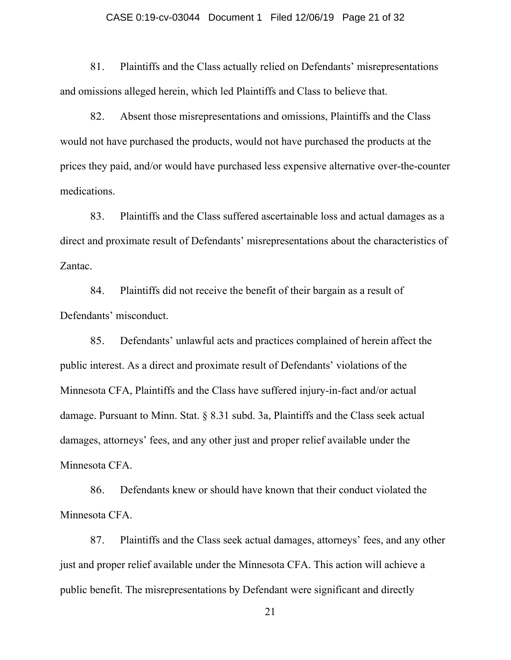#### CASE 0:19-cv-03044 Document 1 Filed 12/06/19 Page 21 of 32

81. Plaintiffs and the Class actually relied on Defendants' misrepresentations and omissions alleged herein, which led Plaintiffs and Class to believe that.

82. Absent those misrepresentations and omissions, Plaintiffs and the Class would not have purchased the products, would not have purchased the products at the prices they paid, and/or would have purchased less expensive alternative over-the-counter medications.

83. Plaintiffs and the Class suffered ascertainable loss and actual damages as a direct and proximate result of Defendants' misrepresentations about the characteristics of Zantac.

84. Plaintiffs did not receive the benefit of their bargain as a result of Defendants' misconduct.

85. Defendants' unlawful acts and practices complained of herein affect the public interest. As a direct and proximate result of Defendants' violations of the Minnesota CFA, Plaintiffs and the Class have suffered injury-in-fact and/or actual damage. Pursuant to Minn. Stat. § 8.31 subd. 3a, Plaintiffs and the Class seek actual damages, attorneys' fees, and any other just and proper relief available under the Minnesota CFA.

86. Defendants knew or should have known that their conduct violated the Minnesota CFA.

87. Plaintiffs and the Class seek actual damages, attorneys' fees, and any other just and proper relief available under the Minnesota CFA. This action will achieve a public benefit. The misrepresentations by Defendant were significant and directly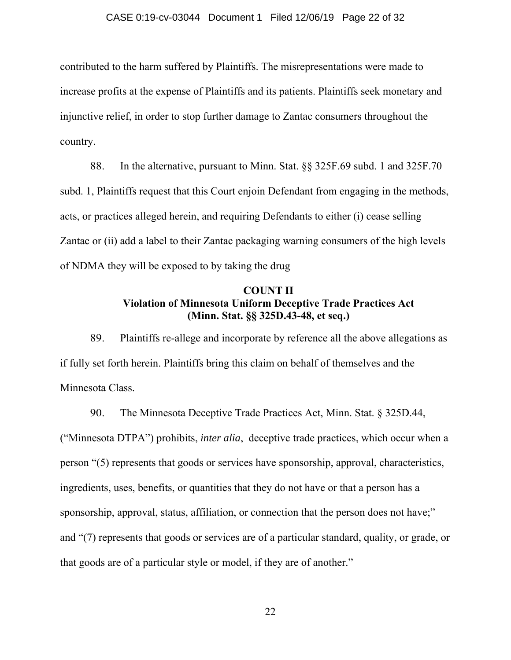#### CASE 0:19-cv-03044 Document 1 Filed 12/06/19 Page 22 of 32

contributed to the harm suffered by Plaintiffs. The misrepresentations were made to increase profits at the expense of Plaintiffs and its patients. Plaintiffs seek monetary and injunctive relief, in order to stop further damage to Zantac consumers throughout the country.

88. In the alternative, pursuant to Minn. Stat. §§ 325F.69 subd. 1 and 325F.70 subd. 1, Plaintiffs request that this Court enjoin Defendant from engaging in the methods, acts, or practices alleged herein, and requiring Defendants to either (i) cease selling Zantac or (ii) add a label to their Zantac packaging warning consumers of the high levels of NDMA they will be exposed to by taking the drug

# **COUNT II Violation of Minnesota Uniform Deceptive Trade Practices Act (Minn. Stat. §§ 325D.43-48, et seq.)**

89. Plaintiffs re-allege and incorporate by reference all the above allegations as if fully set forth herein. Plaintiffs bring this claim on behalf of themselves and the Minnesota Class.

90. The Minnesota Deceptive Trade Practices Act, Minn. Stat. § 325D.44, ("Minnesota DTPA") prohibits, *inter alia*, deceptive trade practices, which occur when a person "(5) represents that goods or services have sponsorship, approval, characteristics, ingredients, uses, benefits, or quantities that they do not have or that a person has a sponsorship, approval, status, affiliation, or connection that the person does not have;" and "(7) represents that goods or services are of a particular standard, quality, or grade, or that goods are of a particular style or model, if they are of another."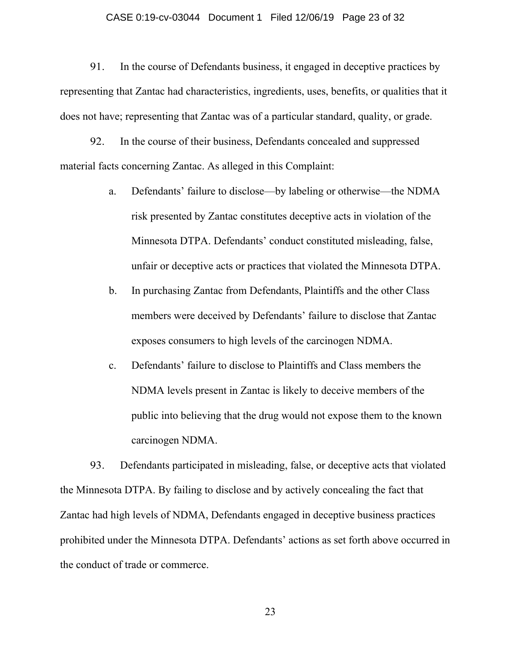#### CASE 0:19-cv-03044 Document 1 Filed 12/06/19 Page 23 of 32

91. In the course of Defendants business, it engaged in deceptive practices by representing that Zantac had characteristics, ingredients, uses, benefits, or qualities that it does not have; representing that Zantac was of a particular standard, quality, or grade.

92. In the course of their business, Defendants concealed and suppressed material facts concerning Zantac. As alleged in this Complaint:

- a. Defendants' failure to disclose—by labeling or otherwise—the NDMA risk presented by Zantac constitutes deceptive acts in violation of the Minnesota DTPA. Defendants' conduct constituted misleading, false, unfair or deceptive acts or practices that violated the Minnesota DTPA.
- b. In purchasing Zantac from Defendants, Plaintiffs and the other Class members were deceived by Defendants' failure to disclose that Zantac exposes consumers to high levels of the carcinogen NDMA.
- c. Defendants' failure to disclose to Plaintiffs and Class members the NDMA levels present in Zantac is likely to deceive members of the public into believing that the drug would not expose them to the known carcinogen NDMA.

93. Defendants participated in misleading, false, or deceptive acts that violated the Minnesota DTPA. By failing to disclose and by actively concealing the fact that Zantac had high levels of NDMA, Defendants engaged in deceptive business practices prohibited under the Minnesota DTPA. Defendants' actions as set forth above occurred in the conduct of trade or commerce.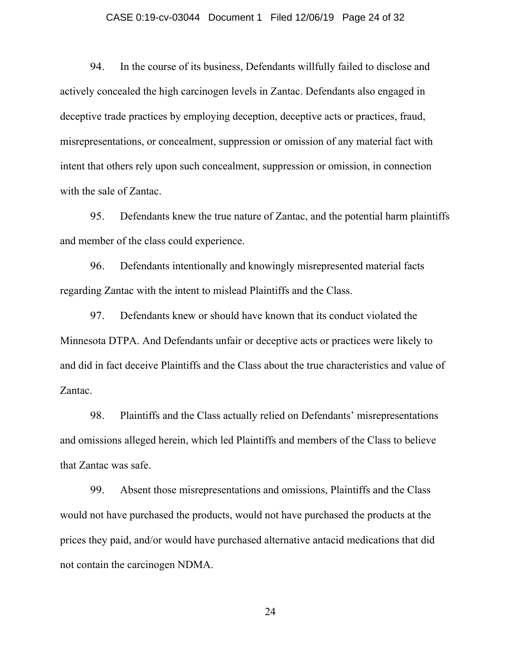#### CASE 0:19-cv-03044 Document 1 Filed 12/06/19 Page 24 of 32

94. In the course of its business, Defendants willfully failed to disclose and actively concealed the high carcinogen levels in Zantac. Defendants also engaged in deceptive trade practices by employing deception, deceptive acts or practices, fraud, misrepresentations, or concealment, suppression or omission of any material fact with intent that others rely upon such concealment, suppression or omission, in connection with the sale of Zantac.

95. Defendants knew the true nature of Zantac, and the potential harm plaintiffs and member of the class could experience.

96. Defendants intentionally and knowingly misrepresented material facts regarding Zantac with the intent to mislead Plaintiffs and the Class.

97. Defendants knew or should have known that its conduct violated the Minnesota DTPA. And Defendants unfair or deceptive acts or practices were likely to and did in fact deceive Plaintiffs and the Class about the true characteristics and value of Zantac.

98. Plaintiffs and the Class actually relied on Defendants' misrepresentations and omissions alleged herein, which led Plaintiffs and members of the Class to believe that Zantac was safe.

99. Absent those misrepresentations and omissions, Plaintiffs and the Class would not have purchased the products, would not have purchased the products at the prices they paid, and/or would have purchased alternative antacid medications that did not contain the carcinogen NDMA.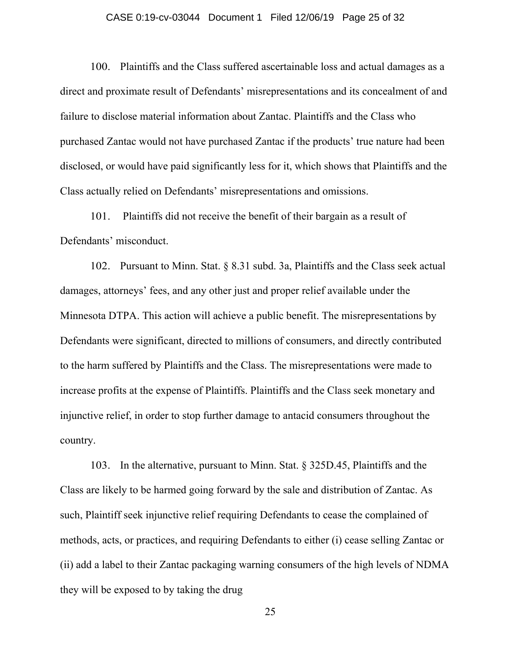## CASE 0:19-cv-03044 Document 1 Filed 12/06/19 Page 25 of 32

100. Plaintiffs and the Class suffered ascertainable loss and actual damages as a direct and proximate result of Defendants' misrepresentations and its concealment of and failure to disclose material information about Zantac. Plaintiffs and the Class who purchased Zantac would not have purchased Zantac if the products' true nature had been disclosed, or would have paid significantly less for it, which shows that Plaintiffs and the Class actually relied on Defendants' misrepresentations and omissions.

101. Plaintiffs did not receive the benefit of their bargain as a result of Defendants' misconduct.

102. Pursuant to Minn. Stat. § 8.31 subd. 3a, Plaintiffs and the Class seek actual damages, attorneys' fees, and any other just and proper relief available under the Minnesota DTPA. This action will achieve a public benefit. The misrepresentations by Defendants were significant, directed to millions of consumers, and directly contributed to the harm suffered by Plaintiffs and the Class. The misrepresentations were made to increase profits at the expense of Plaintiffs. Plaintiffs and the Class seek monetary and injunctive relief, in order to stop further damage to antacid consumers throughout the country.

103. In the alternative, pursuant to Minn. Stat. § 325D.45, Plaintiffs and the Class are likely to be harmed going forward by the sale and distribution of Zantac. As such, Plaintiff seek injunctive relief requiring Defendants to cease the complained of methods, acts, or practices, and requiring Defendants to either (i) cease selling Zantac or (ii) add a label to their Zantac packaging warning consumers of the high levels of NDMA they will be exposed to by taking the drug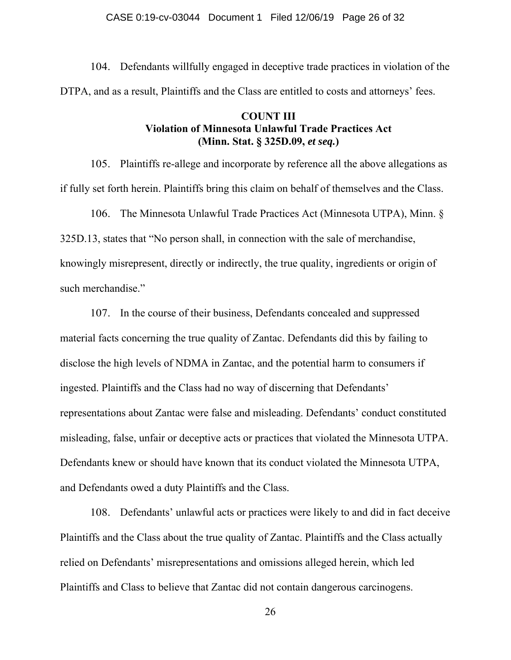104. Defendants willfully engaged in deceptive trade practices in violation of the DTPA, and as a result, Plaintiffs and the Class are entitled to costs and attorneys' fees.

# **COUNT III Violation of Minnesota Unlawful Trade Practices Act (Minn. Stat. § 325D.09,** *et seq.***)**

105. Plaintiffs re-allege and incorporate by reference all the above allegations as if fully set forth herein. Plaintiffs bring this claim on behalf of themselves and the Class.

106. The Minnesota Unlawful Trade Practices Act (Minnesota UTPA), Minn. § 325D.13, states that "No person shall, in connection with the sale of merchandise, knowingly misrepresent, directly or indirectly, the true quality, ingredients or origin of such merchandise."

107. In the course of their business, Defendants concealed and suppressed material facts concerning the true quality of Zantac. Defendants did this by failing to disclose the high levels of NDMA in Zantac, and the potential harm to consumers if ingested. Plaintiffs and the Class had no way of discerning that Defendants' representations about Zantac were false and misleading. Defendants' conduct constituted misleading, false, unfair or deceptive acts or practices that violated the Minnesota UTPA. Defendants knew or should have known that its conduct violated the Minnesota UTPA, and Defendants owed a duty Plaintiffs and the Class.

108. Defendants' unlawful acts or practices were likely to and did in fact deceive Plaintiffs and the Class about the true quality of Zantac. Plaintiffs and the Class actually relied on Defendants' misrepresentations and omissions alleged herein, which led Plaintiffs and Class to believe that Zantac did not contain dangerous carcinogens.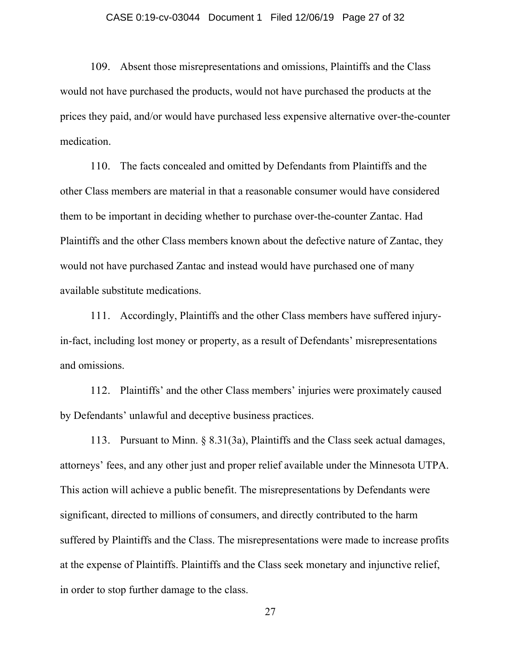#### CASE 0:19-cv-03044 Document 1 Filed 12/06/19 Page 27 of 32

109. Absent those misrepresentations and omissions, Plaintiffs and the Class would not have purchased the products, would not have purchased the products at the prices they paid, and/or would have purchased less expensive alternative over-the-counter medication.

110. The facts concealed and omitted by Defendants from Plaintiffs and the other Class members are material in that a reasonable consumer would have considered them to be important in deciding whether to purchase over-the-counter Zantac. Had Plaintiffs and the other Class members known about the defective nature of Zantac, they would not have purchased Zantac and instead would have purchased one of many available substitute medications.

111. Accordingly, Plaintiffs and the other Class members have suffered injuryin-fact, including lost money or property, as a result of Defendants' misrepresentations and omissions.

112. Plaintiffs' and the other Class members' injuries were proximately caused by Defendants' unlawful and deceptive business practices.

113. Pursuant to Minn. § 8.31(3a), Plaintiffs and the Class seek actual damages, attorneys' fees, and any other just and proper relief available under the Minnesota UTPA. This action will achieve a public benefit. The misrepresentations by Defendants were significant, directed to millions of consumers, and directly contributed to the harm suffered by Plaintiffs and the Class. The misrepresentations were made to increase profits at the expense of Plaintiffs. Plaintiffs and the Class seek monetary and injunctive relief, in order to stop further damage to the class.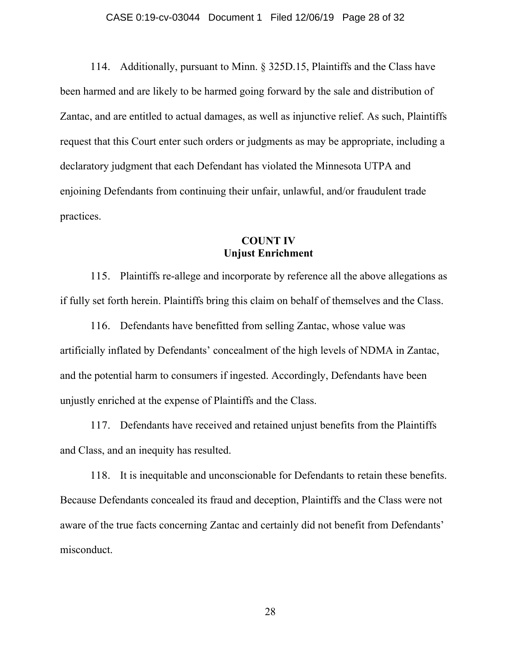#### CASE 0:19-cv-03044 Document 1 Filed 12/06/19 Page 28 of 32

114. Additionally, pursuant to Minn. § 325D.15, Plaintiffs and the Class have been harmed and are likely to be harmed going forward by the sale and distribution of Zantac, and are entitled to actual damages, as well as injunctive relief. As such, Plaintiffs request that this Court enter such orders or judgments as may be appropriate, including a declaratory judgment that each Defendant has violated the Minnesota UTPA and enjoining Defendants from continuing their unfair, unlawful, and/or fraudulent trade practices.

## **COUNT IV Unjust Enrichment**

115. Plaintiffs re-allege and incorporate by reference all the above allegations as if fully set forth herein. Plaintiffs bring this claim on behalf of themselves and the Class.

116. Defendants have benefitted from selling Zantac, whose value was artificially inflated by Defendants' concealment of the high levels of NDMA in Zantac, and the potential harm to consumers if ingested. Accordingly, Defendants have been unjustly enriched at the expense of Plaintiffs and the Class.

117. Defendants have received and retained unjust benefits from the Plaintiffs and Class, and an inequity has resulted.

118. It is inequitable and unconscionable for Defendants to retain these benefits. Because Defendants concealed its fraud and deception, Plaintiffs and the Class were not aware of the true facts concerning Zantac and certainly did not benefit from Defendants' misconduct.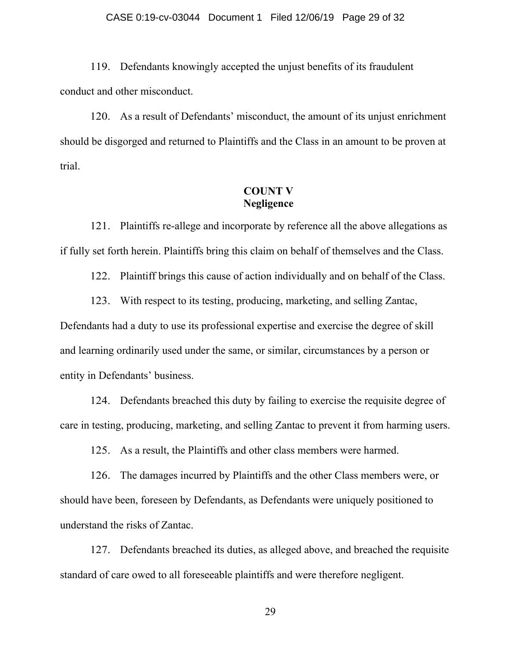#### CASE 0:19-cv-03044 Document 1 Filed 12/06/19 Page 29 of 32

119. Defendants knowingly accepted the unjust benefits of its fraudulent conduct and other misconduct.

120. As a result of Defendants' misconduct, the amount of its unjust enrichment should be disgorged and returned to Plaintiffs and the Class in an amount to be proven at trial.

# **COUNT V Negligence**

121. Plaintiffs re-allege and incorporate by reference all the above allegations as if fully set forth herein. Plaintiffs bring this claim on behalf of themselves and the Class.

122. Plaintiff brings this cause of action individually and on behalf of the Class.

123. With respect to its testing, producing, marketing, and selling Zantac, Defendants had a duty to use its professional expertise and exercise the degree of skill and learning ordinarily used under the same, or similar, circumstances by a person or entity in Defendants' business.

124. Defendants breached this duty by failing to exercise the requisite degree of care in testing, producing, marketing, and selling Zantac to prevent it from harming users.

125. As a result, the Plaintiffs and other class members were harmed.

126. The damages incurred by Plaintiffs and the other Class members were, or should have been, foreseen by Defendants, as Defendants were uniquely positioned to understand the risks of Zantac.

127. Defendants breached its duties, as alleged above, and breached the requisite standard of care owed to all foreseeable plaintiffs and were therefore negligent.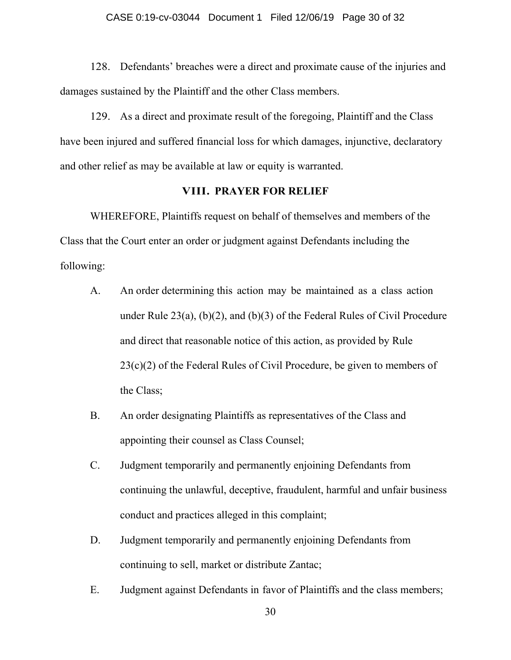128. Defendants' breaches were a direct and proximate cause of the injuries and damages sustained by the Plaintiff and the other Class members.

129. As a direct and proximate result of the foregoing, Plaintiff and the Class have been injured and suffered financial loss for which damages, injunctive, declaratory and other relief as may be available at law or equity is warranted.

## **VIII. PRAYER FOR RELIEF**

WHEREFORE, Plaintiffs request on behalf of themselves and members of the Class that the Court enter an order or judgment against Defendants including the following:

- A. An order determining this action may be maintained as a class action under Rule 23(a), (b)(2), and (b)(3) of the Federal Rules of Civil Procedure and direct that reasonable notice of this action, as provided by Rule 23(c)(2) of the Federal Rules of Civil Procedure, be given to members of the Class;
- B. An order designating Plaintiffs as representatives of the Class and appointing their counsel as Class Counsel;
- C. Judgment temporarily and permanently enjoining Defendants from continuing the unlawful, deceptive, fraudulent, harmful and unfair business conduct and practices alleged in this complaint;
- D. Judgment temporarily and permanently enjoining Defendants from continuing to sell, market or distribute Zantac;
- E. Judgment against Defendants in favor of Plaintiffs and the class members;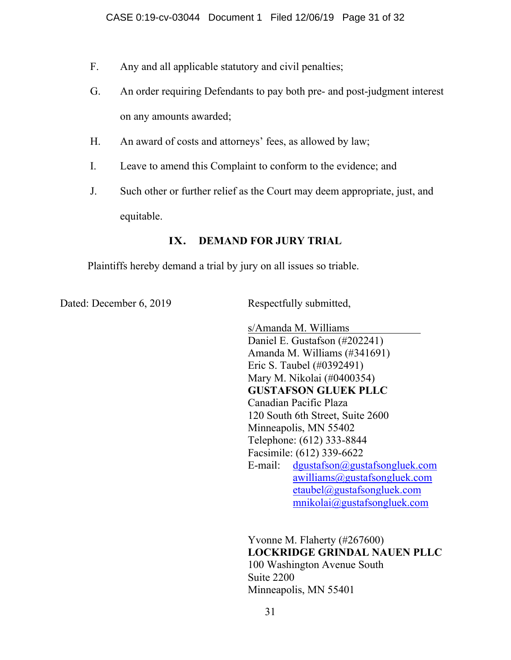- F. Any and all applicable statutory and civil penalties;
- G. An order requiring Defendants to pay both pre- and post-judgment interest on any amounts awarded;
- H. An award of costs and attorneys' fees, as allowed by law;
- I. Leave to amend this Complaint to conform to the evidence; and
- J. Such other or further relief as the Court may deem appropriate, just, and equitable.

# **IX. DEMAND FOR JURY TRIAL**

Plaintiffs hereby demand a trial by jury on all issues so triable.

Dated: December 6, 2019 Respectfully submitted,

 s/Amanda M. Williams Daniel E. Gustafson (#202241) Amanda M. Williams (#341691) Eric S. Taubel (#0392491) Mary M. Nikolai (#0400354) **GUSTAFSON GLUEK PLLC**  Canadian Pacific Plaza 120 South 6th Street, Suite 2600 Minneapolis, MN 55402 Telephone: (612) 333-8844 Facsimile: (612) 339-6622 E-mail: dgustafson@gustafsongluek.com awilliams@gustafsongluek.com etaubel@gustafsongluek.com mnikolai@gustafsongluek.com

Yvonne M. Flaherty (#267600) **LOCKRIDGE GRINDAL NAUEN PLLC**  100 Washington Avenue South Suite 2200 Minneapolis, MN 55401